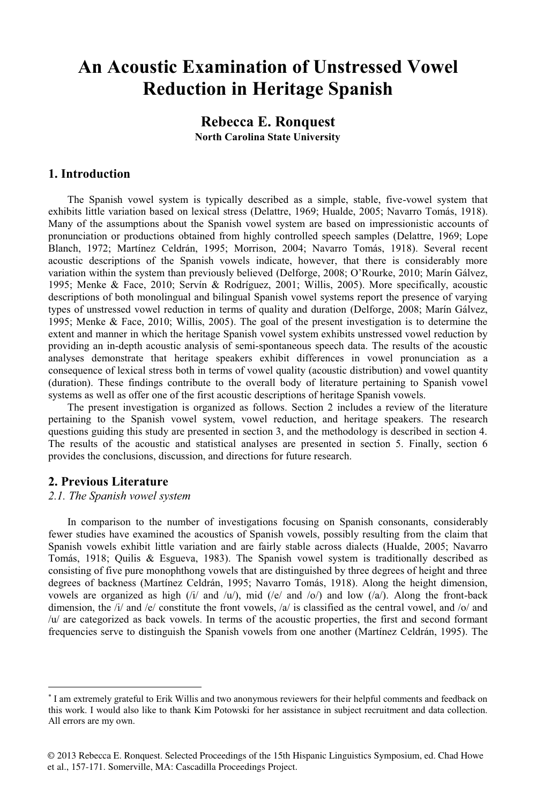## **An Acoustic Examination of Unstressed Vowel Reduction in Heritage Spanish**

## **Rebecca E. Ronquest North Carolina State University**

### **1. Introduction**

 The Spanish vowel system is typically described as a simple, stable, five-vowel system that exhibits little variation based on lexical stress (Delattre, 1969; Hualde, 2005; Navarro Tomás, 1918). Many of the assumptions about the Spanish vowel system are based on impressionistic accounts of pronunciation or productions obtained from highly controlled speech samples (Delattre, 1969; Lope Blanch, 1972; Martínez Celdrán, 1995; Morrison, 2004; Navarro Tomás, 1918). Several recent acoustic descriptions of the Spanish vowels indicate, however, that there is considerably more variation within the system than previously believed (Delforge, 2008; O'Rourke, 2010; Marín Gálvez, 1995; Menke & Face, 2010; Servín & Rodríguez, 2001; Willis, 2005). More specifically, acoustic descriptions of both monolingual and bilingual Spanish vowel systems report the presence of varying types of unstressed vowel reduction in terms of quality and duration (Delforge, 2008; Marín Gálvez, 1995; Menke & Face, 2010; Willis, 2005). The goal of the present investigation is to determine the extent and manner in which the heritage Spanish vowel system exhibits unstressed vowel reduction by providing an in-depth acoustic analysis of semi-spontaneous speech data. The results of the acoustic analyses demonstrate that heritage speakers exhibit differences in vowel pronunciation as a consequence of lexical stress both in terms of vowel quality (acoustic distribution) and vowel quantity (duration). These findings contribute to the overall body of literature pertaining to Spanish vowel systems as well as offer one of the first acoustic descriptions of heritage Spanish vowels.

 The present investigation is organized as follows. Section 2 includes a review of the literature pertaining to the Spanish vowel system, vowel reduction, and heritage speakers. The research questions guiding this study are presented in section 3, and the methodology is described in section 4. The results of the acoustic and statistical analyses are presented in section 5. Finally, section 6 provides the conclusions, discussion, and directions for future research.

## **2. Previous Literature**

 $\overline{a}$ 

#### *2.1. The Spanish vowel system*

In comparison to the number of investigations focusing on Spanish consonants, considerably fewer studies have examined the acoustics of Spanish vowels, possibly resulting from the claim that Spanish vowels exhibit little variation and are fairly stable across dialects (Hualde, 2005; Navarro Tomás, 1918; Quilis & Esgueva, 1983). The Spanish vowel system is traditionally described as consisting of five pure monophthong vowels that are distinguished by three degrees of height and three degrees of backness (Martínez Celdrán, 1995; Navarro Tomás, 1918). Along the height dimension, vowels are organized as high  $(ii)$  and  $\langle u \rangle$ , mid  $(\langle e \rangle$  and  $\langle o \rangle$  and low  $(\langle a \rangle)$ . Along the front-back dimension, the  $\frac{1}{a}$  and  $\frac{1}{c}$  constitute the front vowels,  $\frac{1}{a}$  is classified as the central vowel, and  $\frac{1}{a}$  and /u/ are categorized as back vowels. In terms of the acoustic properties, the first and second formant frequencies serve to distinguish the Spanish vowels from one another (Martínez Celdrán, 1995). The

<sup>-</sup> I am extremely grateful to Erik Willis and two anonymous reviewers for their helpful comments and feedback on this work. I would also like to thank Kim Potowski for her assistance in subject recruitment and data collection. All errors are my own.

<sup>© 2013</sup> Rebecca E. Ronquest. Selected Proceedings of the 15th Hispanic Linguistics Symposium, ed. Chad Howe et al., 157-171. Somerville, MA: Cascadilla Proceedings Project.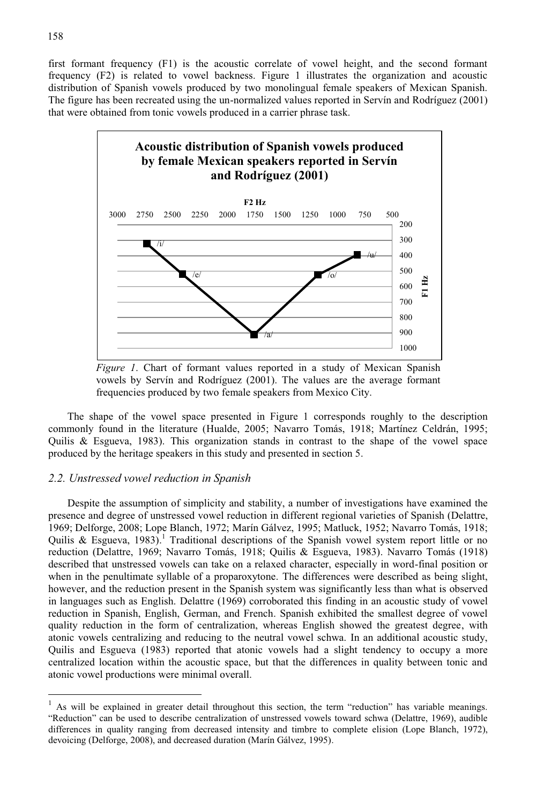first formant frequency (F1) is the acoustic correlate of vowel height, and the second formant frequency (F2) is related to vowel backness. Figure 1 illustrates the organization and acoustic distribution of Spanish vowels produced by two monolingual female speakers of Mexican Spanish. The figure has been recreated using the un-normalized values reported in Servín and Rodríguez (2001) that were obtained from tonic vowels produced in a carrier phrase task.



 *Figure 1*. Chart of formant values reported in a study of Mexican Spanish vowels by Servín and Rodríguez (2001). The values are the average formant frequencies produced by two female speakers from Mexico City.

The shape of the vowel space presented in Figure 1 corresponds roughly to the description commonly found in the literature (Hualde, 2005; Navarro Tomás, 1918; Martínez Celdrán, 1995; Quilis & Esgueva, 1983). This organization stands in contrast to the shape of the vowel space produced by the heritage speakers in this study and presented in section 5.

#### *2.2. Unstressed vowel reduction in Spanish*

Despite the assumption of simplicity and stability, a number of investigations have examined the presence and degree of unstressed vowel reduction in different regional varieties of Spanish (Delattre, 1969; Delforge, 2008; Lope Blanch, 1972; Marín Gálvez, 1995; Matluck, 1952; Navarro Tomás, 1918; Quilis & Esgueva, 1983).<sup>1</sup> Traditional descriptions of the Spanish vowel system report little or no reduction (Delattre, 1969; Navarro Tomás, 1918; Quilis & Esgueva, 1983). Navarro Tomás (1918) described that unstressed vowels can take on a relaxed character, especially in word-final position or when in the penultimate syllable of a proparoxytone. The differences were described as being slight, however, and the reduction present in the Spanish system was significantly less than what is observed in languages such as English. Delattre (1969) corroborated this finding in an acoustic study of vowel reduction in Spanish, English, German, and French. Spanish exhibited the smallest degree of vowel quality reduction in the form of centralization, whereas English showed the greatest degree, with atonic vowels centralizing and reducing to the neutral vowel schwa. In an additional acoustic study, Quilis and Esgueva (1983) reported that atonic vowels had a slight tendency to occupy a more centralized location within the acoustic space, but that the differences in quality between tonic and atonic vowel productions were minimal overall.

 $\overline{a}$ 

<sup>1</sup> As will be explained in greater detail throughout this section, the term "reduction" has variable meanings. "Reduction" can be used to describe centralization of unstressed vowels toward schwa (Delattre, 1969), audible differences in quality ranging from decreased intensity and timbre to complete elision (Lope Blanch, 1972), devoicing (Delforge, 2008), and decreased duration (Marín Gálvez, 1995).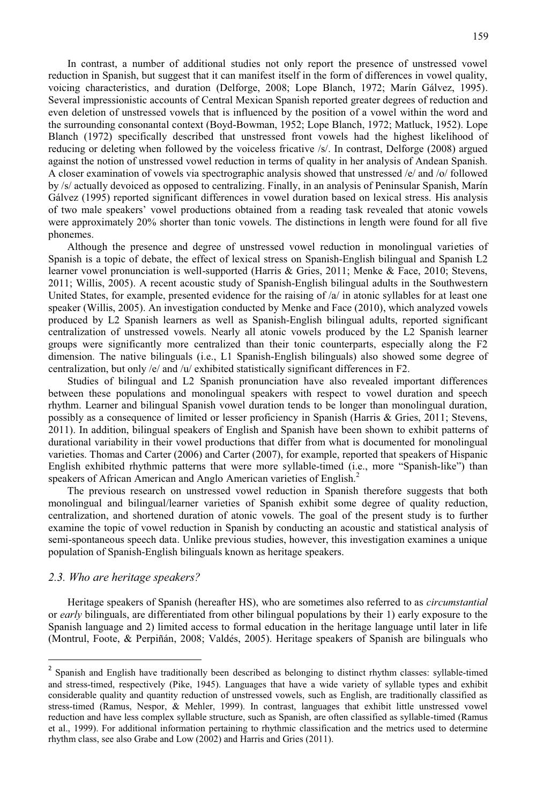In contrast, a number of additional studies not only report the presence of unstressed vowel reduction in Spanish, but suggest that it can manifest itself in the form of differences in vowel quality, voicing characteristics, and duration (Delforge, 2008; Lope Blanch, 1972; Marín Gálvez, 1995). Several impressionistic accounts of Central Mexican Spanish reported greater degrees of reduction and even deletion of unstressed vowels that is influenced by the position of a vowel within the word and the surrounding consonantal context (Boyd-Bowman, 1952; Lope Blanch, 1972; Matluck, 1952). Lope Blanch (1972) specifically described that unstressed front vowels had the highest likelihood of reducing or deleting when followed by the voiceless fricative /s/. In contrast, Delforge (2008) argued against the notion of unstressed vowel reduction in terms of quality in her analysis of Andean Spanish. A closer examination of vowels via spectrographic analysis showed that unstressed /e/ and /o/ followed by /s/ actually devoiced as opposed to centralizing. Finally, in an analysis of Peninsular Spanish, Marín Gálvez (1995) reported significant differences in vowel duration based on lexical stress. His analysis of two male speakers' vowel productions obtained from a reading task revealed that atonic vowels were approximately 20% shorter than tonic vowels. The distinctions in length were found for all five phonemes.

 Although the presence and degree of unstressed vowel reduction in monolingual varieties of Spanish is a topic of debate, the effect of lexical stress on Spanish-English bilingual and Spanish L2 learner vowel pronunciation is well-supported (Harris & Gries, 2011; Menke & Face, 2010; Stevens, 2011; Willis, 2005). A recent acoustic study of Spanish-English bilingual adults in the Southwestern United States, for example, presented evidence for the raising of  $\alpha$  in atonic syllables for at least one speaker (Willis, 2005). An investigation conducted by Menke and Face (2010), which analyzed vowels produced by L2 Spanish learners as well as Spanish-English bilingual adults, reported significant centralization of unstressed vowels. Nearly all atonic vowels produced by the L2 Spanish learner groups were significantly more centralized than their tonic counterparts, especially along the F2 dimension. The native bilinguals (i.e., L1 Spanish-English bilinguals) also showed some degree of centralization, but only /e/ and / $\mu$ / exhibited statistically significant differences in F2.

Studies of bilingual and L2 Spanish pronunciation have also revealed important differences between these populations and monolingual speakers with respect to vowel duration and speech rhythm. Learner and bilingual Spanish vowel duration tends to be longer than monolingual duration, possibly as a consequence of limited or lesser proficiency in Spanish (Harris & Gries, 2011; Stevens, 2011). In addition, bilingual speakers of English and Spanish have been shown to exhibit patterns of durational variability in their vowel productions that differ from what is documented for monolingual varieties. Thomas and Carter (2006) and Carter (2007), for example, reported that speakers of Hispanic English exhibited rhythmic patterns that were more syllable-timed (i.e., more "Spanish-like") than speakers of African American and Anglo American varieties of English.<sup>2</sup>

 The previous research on unstressed vowel reduction in Spanish therefore suggests that both monolingual and bilingual/learner varieties of Spanish exhibit some degree of quality reduction, centralization, and shortened duration of atonic vowels. The goal of the present study is to further examine the topic of vowel reduction in Spanish by conducting an acoustic and statistical analysis of semi-spontaneous speech data. Unlike previous studies, however, this investigation examines a unique population of Spanish-English bilinguals known as heritage speakers.

#### *2.3. Who are heritage speakers?*

 $\overline{a}$ 

Heritage speakers of Spanish (hereafter HS), who are sometimes also referred to as *circumstantial* or *early* bilinguals, are differentiated from other bilingual populations by their 1) early exposure to the Spanish language and 2) limited access to formal education in the heritage language until later in life (Montrul, Foote, & Perpiñán, 2008; Valdés, 2005). Heritage speakers of Spanish are bilinguals who

<sup>&</sup>lt;sup>2</sup> Spanish and English have traditionally been described as belonging to distinct rhythm classes: syllable-timed and stress-timed, respectively (Pike, 1945). Languages that have a wide variety of syllable types and exhibit considerable quality and quantity reduction of unstressed vowels, such as English, are traditionally classified as stress-timed (Ramus, Nespor, & Mehler, 1999). In contrast, languages that exhibit little unstressed vowel reduction and have less complex syllable structure, such as Spanish, are often classified as syllable-timed (Ramus et al., 1999). For additional information pertaining to rhythmic classification and the metrics used to determine rhythm class, see also Grabe and Low (2002) and Harris and Gries (2011).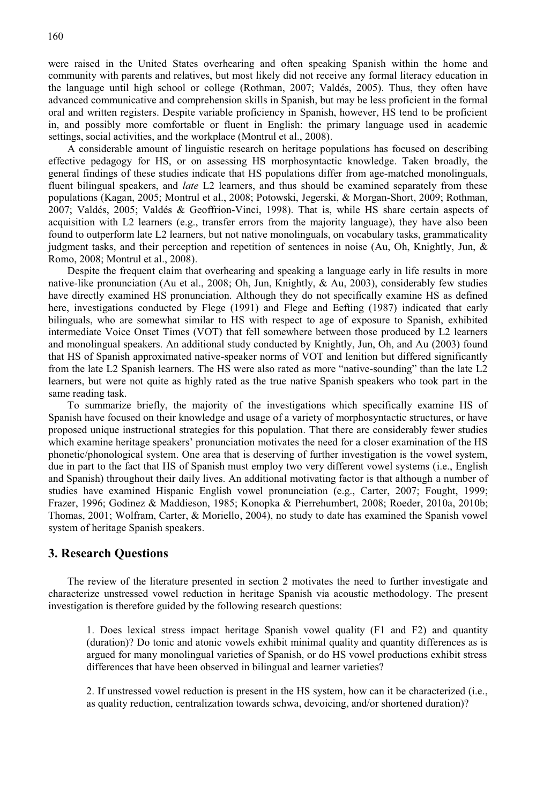were raised in the United States overhearing and often speaking Spanish within the home and community with parents and relatives, but most likely did not receive any formal literacy education in the language until high school or college (Rothman, 2007; Valdés, 2005). Thus, they often have advanced communicative and comprehension skills in Spanish, but may be less proficient in the formal oral and written registers. Despite variable proficiency in Spanish, however, HS tend to be proficient in, and possibly more comfortable or fluent in English: the primary language used in academic settings, social activities, and the workplace (Montrul et al., 2008).

A considerable amount of linguistic research on heritage populations has focused on describing effective pedagogy for HS, or on assessing HS morphosyntactic knowledge. Taken broadly, the general findings of these studies indicate that HS populations differ from age-matched monolinguals, fluent bilingual speakers, and *late* L2 learners, and thus should be examined separately from these populations (Kagan, 2005; Montrul et al., 2008; Potowski, Jegerski, & Morgan-Short, 2009; Rothman, 2007; Valdés, 2005; Valdés & Geoffrion-Vinci, 1998). That is, while HS share certain aspects of acquisition with L2 learners (e.g., transfer errors from the majority language), they have also been found to outperform late L2 learners, but not native monolinguals, on vocabulary tasks, grammaticality judgment tasks, and their perception and repetition of sentences in noise (Au, Oh, Knightly, Jun, & Romo, 2008; Montrul et al., 2008).

 Despite the frequent claim that overhearing and speaking a language early in life results in more native-like pronunciation (Au et al., 2008; Oh, Jun, Knightly, & Au, 2003), considerably few studies have directly examined HS pronunciation. Although they do not specifically examine HS as defined here, investigations conducted by Flege (1991) and Flege and Eefting (1987) indicated that early bilinguals, who are somewhat similar to HS with respect to age of exposure to Spanish, exhibited intermediate Voice Onset Times (VOT) that fell somewhere between those produced by L2 learners and monolingual speakers. An additional study conducted by Knightly, Jun, Oh, and Au (2003) found that HS of Spanish approximated native-speaker norms of VOT and lenition but differed significantly from the late L2 Spanish learners. The HS were also rated as more "native-sounding" than the late L2 learners, but were not quite as highly rated as the true native Spanish speakers who took part in the same reading task.

To summarize briefly, the majority of the investigations which specifically examine HS of Spanish have focused on their knowledge and usage of a variety of morphosyntactic structures, or have proposed unique instructional strategies for this population. That there are considerably fewer studies which examine heritage speakers' pronunciation motivates the need for a closer examination of the HS phonetic/phonological system. One area that is deserving of further investigation is the vowel system, due in part to the fact that HS of Spanish must employ two very different vowel systems (i.e., English and Spanish) throughout their daily lives. An additional motivating factor is that although a number of studies have examined Hispanic English vowel pronunciation (e.g., Carter, 2007; Fought, 1999; Frazer, 1996; Godinez & Maddieson, 1985; Konopka & Pierrehumbert, 2008; Roeder, 2010a, 2010b; Thomas, 2001; Wolfram, Carter, & Moriello, 2004), no study to date has examined the Spanish vowel system of heritage Spanish speakers.

#### **3. Research Questions**

 The review of the literature presented in section 2 motivates the need to further investigate and characterize unstressed vowel reduction in heritage Spanish via acoustic methodology. The present investigation is therefore guided by the following research questions:

1. Does lexical stress impact heritage Spanish vowel quality (F1 and F2) and quantity (duration)? Do tonic and atonic vowels exhibit minimal quality and quantity differences as is argued for many monolingual varieties of Spanish, or do HS vowel productions exhibit stress differences that have been observed in bilingual and learner varieties?

2. If unstressed vowel reduction is present in the HS system, how can it be characterized (i.e., as quality reduction, centralization towards schwa, devoicing, and/or shortened duration)?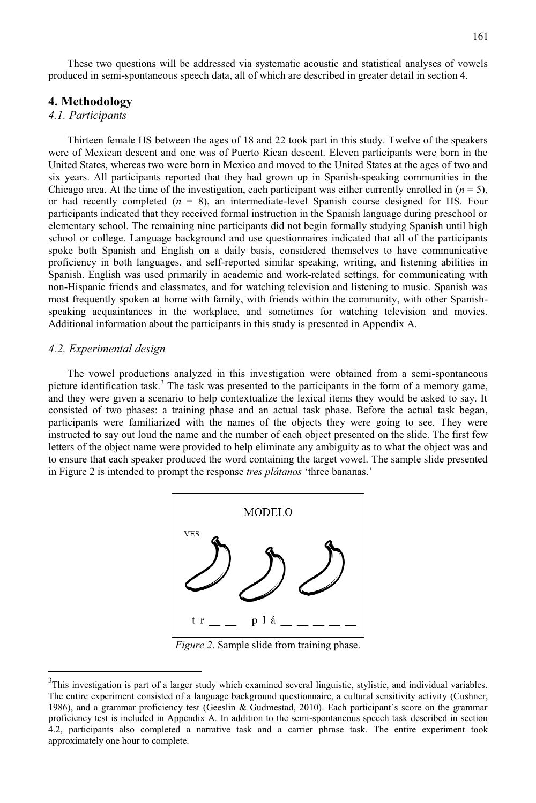These two questions will be addressed via systematic acoustic and statistical analyses of vowels produced in semi-spontaneous speech data, all of which are described in greater detail in section 4.

#### **4. Methodology**

#### *4.1. Participants*

Thirteen female HS between the ages of 18 and 22 took part in this study. Twelve of the speakers were of Mexican descent and one was of Puerto Rican descent. Eleven participants were born in the United States, whereas two were born in Mexico and moved to the United States at the ages of two and six years. All participants reported that they had grown up in Spanish-speaking communities in the Chicago area. At the time of the investigation, each participant was either currently enrolled in  $(n = 5)$ , or had recently completed  $(n = 8)$ , an intermediate-level Spanish course designed for HS. Four participants indicated that they received formal instruction in the Spanish language during preschool or elementary school. The remaining nine participants did not begin formally studying Spanish until high school or college. Language background and use questionnaires indicated that all of the participants spoke both Spanish and English on a daily basis, considered themselves to have communicative proficiency in both languages, and self-reported similar speaking, writing, and listening abilities in Spanish. English was used primarily in academic and work-related settings, for communicating with non-Hispanic friends and classmates, and for watching television and listening to music. Spanish was most frequently spoken at home with family, with friends within the community, with other Spanishspeaking acquaintances in the workplace, and sometimes for watching television and movies. Additional information about the participants in this study is presented in Appendix A.

#### *4.2. Experimental design*

 $\overline{a}$ 

The vowel productions analyzed in this investigation were obtained from a semi-spontaneous picture identification task.<sup>3</sup> The task was presented to the participants in the form of a memory game, and they were given a scenario to help contextualize the lexical items they would be asked to say. It consisted of two phases: a training phase and an actual task phase. Before the actual task began, participants were familiarized with the names of the objects they were going to see. They were instructed to say out loud the name and the number of each object presented on the slide. The first few letters of the object name were provided to help eliminate any ambiguity as to what the object was and to ensure that each speaker produced the word containing the target vowel. The sample slide presented in Figure 2 is intended to prompt the response *tres plátanos* 'three bananas.'



*Figure 2*. Sample slide from training phase.

 $3$ This investigation is part of a larger study which examined several linguistic, stylistic, and individual variables. The entire experiment consisted of a language background questionnaire, a cultural sensitivity activity (Cushner, 1986), and a grammar proficiency test (Geeslin & Gudmestad, 2010). Each participant's score on the grammar proficiency test is included in Appendix A. In addition to the semi-spontaneous speech task described in section 4.2, participants also completed a narrative task and a carrier phrase task. The entire experiment took approximately one hour to complete.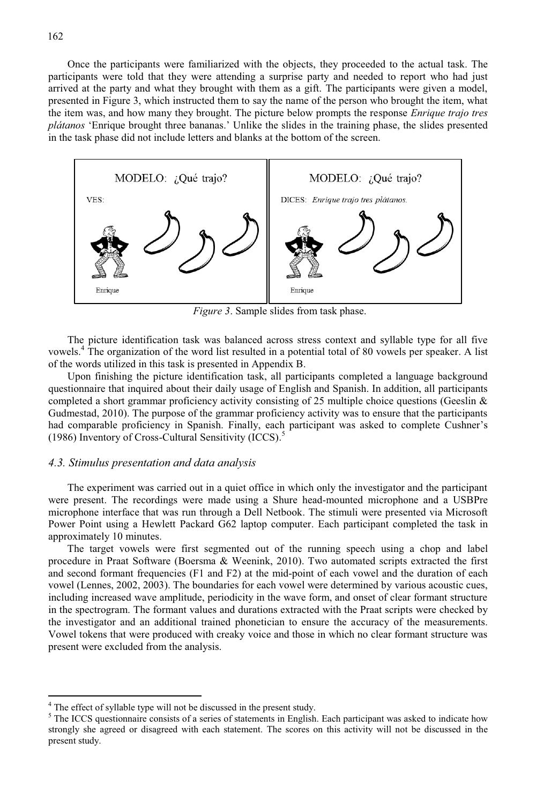Once the participants were familiarized with the objects, they proceeded to the actual task. The participants were told that they were attending a surprise party and needed to report who had just arrived at the party and what they brought with them as a gift. The participants were given a model, presented in Figure 3, which instructed them to say the name of the person who brought the item, what the item was, and how many they brought. The picture below prompts the response *Enrique trajo tres plátanos* 'Enrique brought three bananas.' Unlike the slides in the training phase, the slides presented in the task phase did not include letters and blanks at the bottom of the screen.



*Figure 3*. Sample slides from task phase.

The picture identification task was balanced across stress context and syllable type for all five vowels.<sup>4</sup> The organization of the word list resulted in a potential total of 80 vowels per speaker. A list of the words utilized in this task is presented in Appendix B.

Upon finishing the picture identification task, all participants completed a language background questionnaire that inquired about their daily usage of English and Spanish. In addition, all participants completed a short grammar proficiency activity consisting of 25 multiple choice questions (Geeslin & Gudmestad, 2010). The purpose of the grammar proficiency activity was to ensure that the participants had comparable proficiency in Spanish. Finally, each participant was asked to complete Cushner's (1986) Inventory of Cross-Cultural Sensitivity (ICCS).<sup>5</sup>

#### *4.3. Stimulus presentation and data analysis*

The experiment was carried out in a quiet office in which only the investigator and the participant were present. The recordings were made using a Shure head-mounted microphone and a USBPre microphone interface that was run through a Dell Netbook. The stimuli were presented via Microsoft Power Point using a Hewlett Packard G62 laptop computer. Each participant completed the task in approximately 10 minutes.

 The target vowels were first segmented out of the running speech using a chop and label procedure in Praat Software (Boersma & Weenink, 2010). Two automated scripts extracted the first and second formant frequencies (F1 and F2) at the mid-point of each vowel and the duration of each vowel (Lennes, 2002, 2003). The boundaries for each vowel were determined by various acoustic cues, including increased wave amplitude, periodicity in the wave form, and onset of clear formant structure in the spectrogram. The formant values and durations extracted with the Praat scripts were checked by the investigator and an additional trained phonetician to ensure the accuracy of the measurements. Vowel tokens that were produced with creaky voice and those in which no clear formant structure was present were excluded from the analysis.

l

<sup>&</sup>lt;sup>4</sup> The effect of syllable type will not be discussed in the present study.

<sup>&</sup>lt;sup>5</sup> The ICCS questionnaire consists of a series of statements in English. Each participant was asked to indicate how strongly she agreed or disagreed with each statement. The scores on this activity will not be discussed in the present study.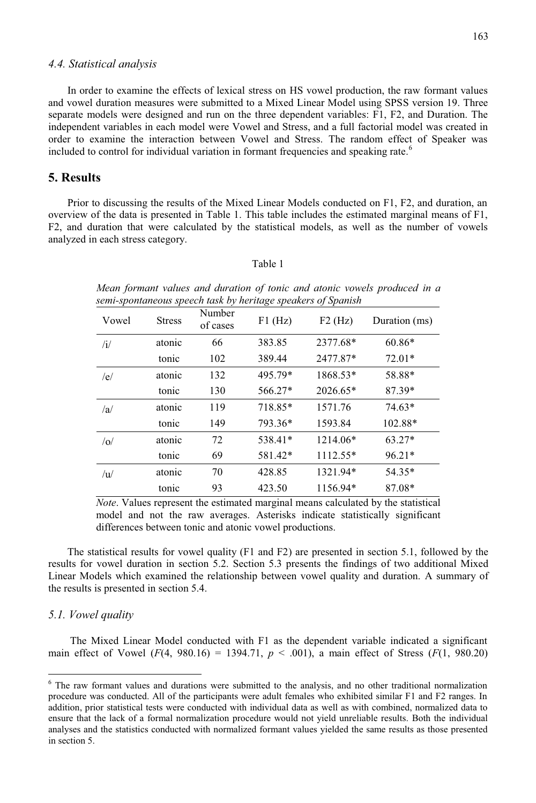#### *4.4. Statistical analysis*

In order to examine the effects of lexical stress on HS vowel production, the raw formant values and vowel duration measures were submitted to a Mixed Linear Model using SPSS version 19. Three separate models were designed and run on the three dependent variables: F1, F2, and Duration. The independent variables in each model were Vowel and Stress, and a full factorial model was created in order to examine the interaction between Vowel and Stress. The random effect of Speaker was included to control for individual variation in formant frequencies and speaking rate.<sup>6</sup>

#### **5. Results**

Prior to discussing the results of the Mixed Linear Models conducted on F1, F2, and duration, an overview of the data is presented in Table 1. This table includes the estimated marginal means of F1, F2, and duration that were calculated by the statistical models, as well as the number of vowels analyzed in each stress category.

#### Table 1

*Mean formant values and duration of tonic and atonic vowels produced in a semi-spontaneous speech task by heritage speakers of Spanish* 

| Vowel        | <b>Stress</b> | Number<br>of cases | $F1$ (Hz) | $F2$ (Hz) | Duration (ms) |
|--------------|---------------|--------------------|-----------|-----------|---------------|
| $\mathbf{u}$ | atonic        | 66                 | 383.85    | 2377.68*  | $60.86*$      |
|              | tonic         | 102                | 389.44    | 2477.87*  | $72.01*$      |
| /e/          | atonic        | 132                | 495.79*   | 1868.53*  | 58.88*        |
|              | tonic         | 130                | 566.27*   | 2026.65*  | 87.39*        |
| /a           | atonic        | 119                | 718.85*   | 1571.76   | $74.63*$      |
|              | tonic         | 149                | 793.36*   | 1593.84   | 102.88*       |
| o            | atonic        | 72                 | 538.41*   | 1214.06*  | $63.27*$      |
|              | tonic         | 69                 | 581.42*   | 1112.55*  | $96.21*$      |
| $\sqrt{u}$   | atonic        | 70                 | 428.85    | 1321.94*  | 54.35*        |
|              | tonic         | 93                 | 423.50    | 1156.94*  | 87.08*        |

*Note*. Values represent the estimated marginal means calculated by the statistical model and not the raw averages. Asterisks indicate statistically significant differences between tonic and atonic vowel productions.

The statistical results for vowel quality (F1 and F2) are presented in section 5.1, followed by the results for vowel duration in section 5.2. Section 5.3 presents the findings of two additional Mixed Linear Models which examined the relationship between vowel quality and duration. A summary of the results is presented in section 5.4.

#### *5.1. Vowel quality*

l

 The Mixed Linear Model conducted with F1 as the dependent variable indicated a significant main effect of Vowel  $(F(4, 980.16) = 1394.71, p < .001)$ , a main effect of Stress  $(F(1, 980.20)$ 

<sup>&</sup>lt;sup>6</sup> The raw formant values and durations were submitted to the analysis, and no other traditional normalization procedure was conducted. All of the participants were adult females who exhibited similar F1 and F2 ranges. In addition, prior statistical tests were conducted with individual data as well as with combined, normalized data to ensure that the lack of a formal normalization procedure would not yield unreliable results. Both the individual analyses and the statistics conducted with normalized formant values yielded the same results as those presented in section 5.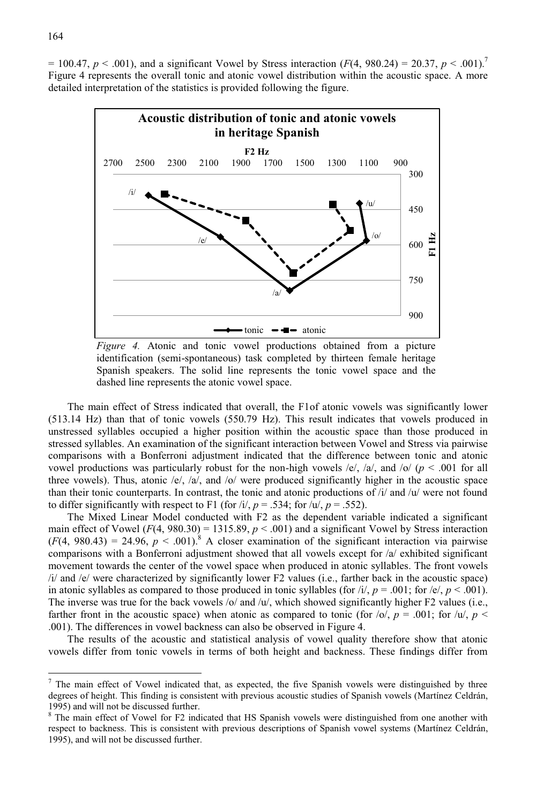$= 100.47, p \le 0.001$ , and a significant Vowel by Stress interaction ( $F(4, 980.24) = 20.37, p \le 0.001$ ).<sup>7</sup> Figure 4 represents the overall tonic and atonic vowel distribution within the acoustic space. A more detailed interpretation of the statistics is provided following the figure.



*Figure 4.* Atonic and tonic vowel productions obtained from a picture identification (semi-spontaneous) task completed by thirteen female heritage Spanish speakers. The solid line represents the tonic vowel space and the dashed line represents the atonic vowel space.

The main effect of Stress indicated that overall, the F1of atonic vowels was significantly lower (513.14 Hz) than that of tonic vowels (550.79 Hz). This result indicates that vowels produced in unstressed syllables occupied a higher position within the acoustic space than those produced in stressed syllables. An examination of the significant interaction between Vowel and Stress via pairwise comparisons with a Bonferroni adjustment indicated that the difference between tonic and atonic vowel productions was particularly robust for the non-high vowels /e/, /a/, and /o/ ( $p < .001$  for all three vowels). Thus, atonic /e/, /a/, and /o/ were produced significantly higher in the acoustic space than their tonic counterparts. In contrast, the tonic and atonic productions of  $/i$  and  $/u$  were not found to differ significantly with respect to F1 (for  $/i$ ,  $p = .534$ ; for  $/u$ ,  $p = .552$ ).

The Mixed Linear Model conducted with F2 as the dependent variable indicated a significant main effect of Vowel  $(F(4, 980.30) = 1315.89, p < .001)$  and a significant Vowel by Stress interaction  $(F(4, 980.43) = 24.96, p < .001)^{8}$  A closer examination of the significant interaction via pairwise comparisons with a Bonferroni adjustment showed that all vowels except for /a/ exhibited significant movement towards the center of the vowel space when produced in atonic syllables. The front vowels /i/ and /e/ were characterized by significantly lower F2 values (i.e., farther back in the acoustic space) in atonic syllables as compared to those produced in tonic syllables (for  $i/$ ,  $p = .001$ ; for  $/e/$ ,  $p < .001$ ). The inverse was true for the back vowels /o/ and /u/, which showed significantly higher  $F2$  values (i.e., farther front in the acoustic space) when atonic as compared to tonic (for  $|0\rangle$ ,  $p = .001$ ; for  $|u\rangle$ ,  $p <$ .001). The differences in vowel backness can also be observed in Figure 4.

The results of the acoustic and statistical analysis of vowel quality therefore show that atonic vowels differ from tonic vowels in terms of both height and backness. These findings differ from

l

 $<sup>7</sup>$  The main effect of Vowel indicated that, as expected, the five Spanish vowels were distinguished by three</sup> degrees of height. This finding is consistent with previous acoustic studies of Spanish vowels (Martínez Celdrán, 1995) and will not be discussed further.

<sup>&</sup>lt;sup>8</sup> The main effect of Vowel for F2 indicated that HS Spanish vowels were distinguished from one another with respect to backness. This is consistent with previous descriptions of Spanish vowel systems (Martínez Celdrán, 1995), and will not be discussed further.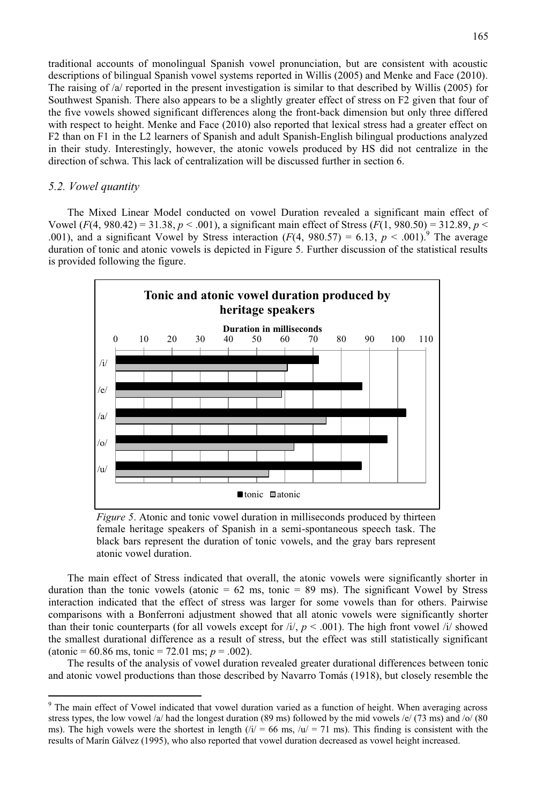traditional accounts of monolingual Spanish vowel pronunciation, but are consistent with acoustic descriptions of bilingual Spanish vowel systems reported in Willis (2005) and Menke and Face (2010). The raising of /a/ reported in the present investigation is similar to that described by Willis (2005) for Southwest Spanish. There also appears to be a slightly greater effect of stress on F2 given that four of the five vowels showed significant differences along the front-back dimension but only three differed with respect to height. Menke and Face (2010) also reported that lexical stress had a greater effect on F2 than on F1 in the L2 learners of Spanish and adult Spanish-English bilingual productions analyzed in their study. Interestingly, however, the atonic vowels produced by HS did not centralize in the direction of schwa. This lack of centralization will be discussed further in section 6.

#### *5.2. Vowel quantity*

l

The Mixed Linear Model conducted on vowel Duration revealed a significant main effect of Vowel  $(F(4, 980.42) = 31.38, p < .001$ , a significant main effect of Stress  $(F(1, 980.50) = 312.89, p < .001$ .001), and a significant Vowel by Stress interaction  $(F(4, 980.57) = 6.13, p < .001)$ .<sup>9</sup> The average duration of tonic and atonic vowels is depicted in Figure 5. Further discussion of the statistical results is provided following the figure.



*Figure 5*. Atonic and tonic vowel duration in milliseconds produced by thirteen female heritage speakers of Spanish in a semi-spontaneous speech task. The black bars represent the duration of tonic vowels, and the gray bars represent atonic vowel duration.

The main effect of Stress indicated that overall, the atonic vowels were significantly shorter in duration than the tonic vowels (atonic  $= 62$  ms, tonic  $= 89$  ms). The significant Vowel by Stress interaction indicated that the effect of stress was larger for some vowels than for others. Pairwise comparisons with a Bonferroni adjustment showed that all atonic vowels were significantly shorter than their tonic counterparts (for all vowels except for  $\frac{i}{r}$ ,  $p < .001$ ). The high front vowel  $\frac{i}{r}$  showed the smallest durational difference as a result of stress, but the effect was still statistically significant  $(atomic = 60.86 \text{ ms}, \text{tonic} = 72.01 \text{ ms}; p = .002).$ 

 The results of the analysis of vowel duration revealed greater durational differences between tonic and atonic vowel productions than those described by Navarro Tomás (1918), but closely resemble the

<sup>&</sup>lt;sup>9</sup> The main effect of Vowel indicated that vowel duration varied as a function of height. When averaging across stress types, the low vowel /a/ had the longest duration (89 ms) followed by the mid vowels /e/ (73 ms) and /o/ (80 ms). The high vowels were the shortest in length  $(i/ = 66 \text{ ms}, i/ = 71 \text{ ms})$ . This finding is consistent with the results of Marín Gálvez (1995), who also reported that vowel duration decreased as vowel height increased.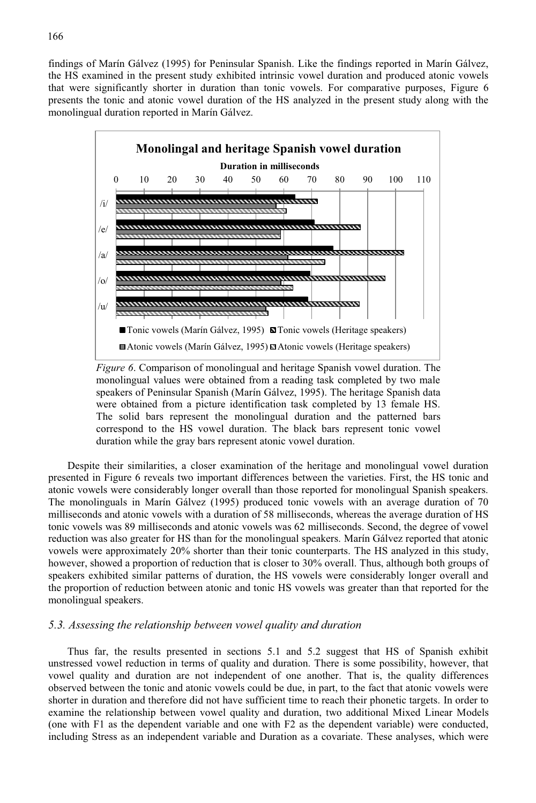findings of Marín Gálvez (1995) for Peninsular Spanish. Like the findings reported in Marín Gálvez, the HS examined in the present study exhibited intrinsic vowel duration and produced atonic vowels that were significantly shorter in duration than tonic vowels. For comparative purposes, Figure 6 presents the tonic and atonic vowel duration of the HS analyzed in the present study along with the monolingual duration reported in Marín Gálvez.



*Figure 6*. Comparison of monolingual and heritage Spanish vowel duration. The monolingual values were obtained from a reading task completed by two male speakers of Peninsular Spanish (Marín Gálvez, 1995). The heritage Spanish data were obtained from a picture identification task completed by 13 female HS. The solid bars represent the monolingual duration and the patterned bars correspond to the HS vowel duration. The black bars represent tonic vowel duration while the gray bars represent atonic vowel duration.

Despite their similarities, a closer examination of the heritage and monolingual vowel duration presented in Figure 6 reveals two important differences between the varieties. First, the HS tonic and atonic vowels were considerably longer overall than those reported for monolingual Spanish speakers. The monolinguals in Marín Gálvez (1995) produced tonic vowels with an average duration of 70 milliseconds and atonic vowels with a duration of 58 milliseconds, whereas the average duration of HS tonic vowels was 89 milliseconds and atonic vowels was 62 milliseconds. Second, the degree of vowel reduction was also greater for HS than for the monolingual speakers. Marín Gálvez reported that atonic vowels were approximately 20% shorter than their tonic counterparts. The HS analyzed in this study, however, showed a proportion of reduction that is closer to 30% overall. Thus, although both groups of speakers exhibited similar patterns of duration, the HS vowels were considerably longer overall and the proportion of reduction between atonic and tonic HS vowels was greater than that reported for the monolingual speakers.

#### *5.3. Assessing the relationship between vowel quality and duration*

Thus far, the results presented in sections 5.1 and 5.2 suggest that HS of Spanish exhibit unstressed vowel reduction in terms of quality and duration. There is some possibility, however, that vowel quality and duration are not independent of one another. That is, the quality differences observed between the tonic and atonic vowels could be due, in part, to the fact that atonic vowels were shorter in duration and therefore did not have sufficient time to reach their phonetic targets. In order to examine the relationship between vowel quality and duration, two additional Mixed Linear Models (one with F1 as the dependent variable and one with F2 as the dependent variable) were conducted, including Stress as an independent variable and Duration as a covariate. These analyses, which were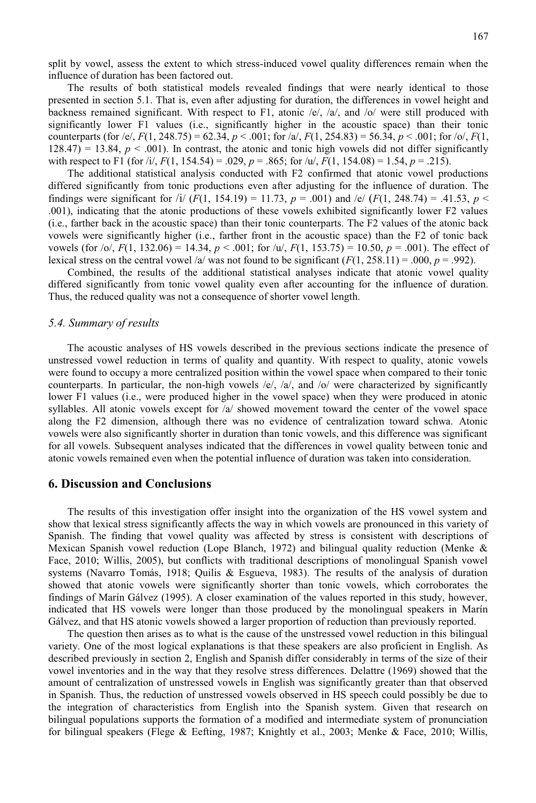167

split by vowel, assess the extent to which stress-induced vowel quality differences remain when the influence of duration has been factored out.

 The results of both statistical models revealed findings that were nearly identical to those presented in section 5.1. That is, even after adjusting for duration, the differences in vowel height and backness remained significant. With respect to F1, atonic  $/e/$ ,  $/a/$ , and  $/o/$  were still produced with significantly lower F1 values (i.e., significantly higher in the acoustic space) than their tonic counterparts (for /e/,  $F(1, 248.75) = 62.34$ ,  $p < .001$ ; for /a/,  $F(1, 254.83) = 56.34$ ,  $p < .001$ ; for /o/,  $F(1, 254.83) = 56.34$ ,  $p < .001$ ; for /o/,  $F(1, 254.83) = 56.34$ ,  $p < .001$ ; for /o/,  $F(1, 248.75) = 62.34$ ,  $p < .001$  $128.47$ ) = 13.84,  $p < .001$ ). In contrast, the atonic and tonic high vowels did not differ significantly with respect to F1 (for  $\frac{1}{r}$ ,  $F(1, 154.54) = .029$ ,  $p = .865$ ; for  $\frac{1}{r}$ ,  $F(1, 154.08) = 1.54$ ,  $p = .215$ ).

The additional statistical analysis conducted with F2 confirmed that atonic vowel productions differed significantly from tonic productions even after adjusting for the influence of duration. The findings were significant for /i/  $(F(1, 154.19) = 11.73$ ,  $p = .001$ ) and /e/  $(F(1, 248.74) = .41.53$ ,  $p <$ .001), indicating that the atonic productions of these vowels exhibited significantly lower F2 values (i.e., farther back in the acoustic space) than their tonic counterparts. The F2 values of the atonic back vowels were significantly higher (i.e., farther front in the acoustic space) than the F2 of tonic back vowels (for  $\sqrt{o}$ ,  $F(1, 132.06) = 14.34$ ,  $p < .001$ ; for  $\sqrt{u}$ ,  $F(1, 153.75) = 10.50$ ,  $p = .001$ ). The effect of lexical stress on the central vowel /a/ was not found to be significant  $(F(1, 258.11) = .000, p = .992)$ .

 Combined, the results of the additional statistical analyses indicate that atonic vowel quality differed significantly from tonic vowel quality even after accounting for the influence of duration. Thus, the reduced quality was not a consequence of shorter vowel length.

#### *5.4. Summary of results*

 The acoustic analyses of HS vowels described in the previous sections indicate the presence of unstressed vowel reduction in terms of quality and quantity. With respect to quality, atonic vowels were found to occupy a more centralized position within the vowel space when compared to their tonic counterparts. In particular, the non-high vowels  $/e/$ ,  $/a/$ , and  $/o/$  were characterized by significantly lower F1 values (i.e., were produced higher in the vowel space) when they were produced in atonic syllables. All atonic vowels except for /a/ showed movement toward the center of the vowel space along the F2 dimension, although there was no evidence of centralization toward schwa. Atonic vowels were also significantly shorter in duration than tonic vowels, and this difference was significant for all vowels. Subsequent analyses indicated that the differences in vowel quality between tonic and atonic vowels remained even when the potential influence of duration was taken into consideration.

#### **6. Discussion and Conclusions**

The results of this investigation offer insight into the organization of the HS vowel system and show that lexical stress significantly affects the way in which vowels are pronounced in this variety of Spanish. The finding that vowel quality was affected by stress is consistent with descriptions of Mexican Spanish vowel reduction (Lope Blanch, 1972) and bilingual quality reduction (Menke & Face, 2010; Willis, 2005), but conflicts with traditional descriptions of monolingual Spanish vowel systems (Navarro Tomás, 1918; Quilis & Esgueva, 1983). The results of the analysis of duration showed that atonic vowels were significantly shorter than tonic vowels, which corroborates the findings of Marín Gálvez (1995). A closer examination of the values reported in this study, however, indicated that HS vowels were longer than those produced by the monolingual speakers in Marín Gálvez, and that HS atonic vowels showed a larger proportion of reduction than previously reported.

 The question then arises as to what is the cause of the unstressed vowel reduction in this bilingual variety. One of the most logical explanations is that these speakers are also proficient in English. As described previously in section 2, English and Spanish differ considerably in terms of the size of their vowel inventories and in the way that they resolve stress differences. Delattre (1969) showed that the amount of centralization of unstressed vowels in English was significantly greater than that observed in Spanish. Thus, the reduction of unstressed vowels observed in HS speech could possibly be due to the integration of characteristics from English into the Spanish system. Given that research on bilingual populations supports the formation of a modified and intermediate system of pronunciation for bilingual speakers (Flege & Eefting, 1987; Knightly et al., 2003; Menke & Face, 2010; Willis,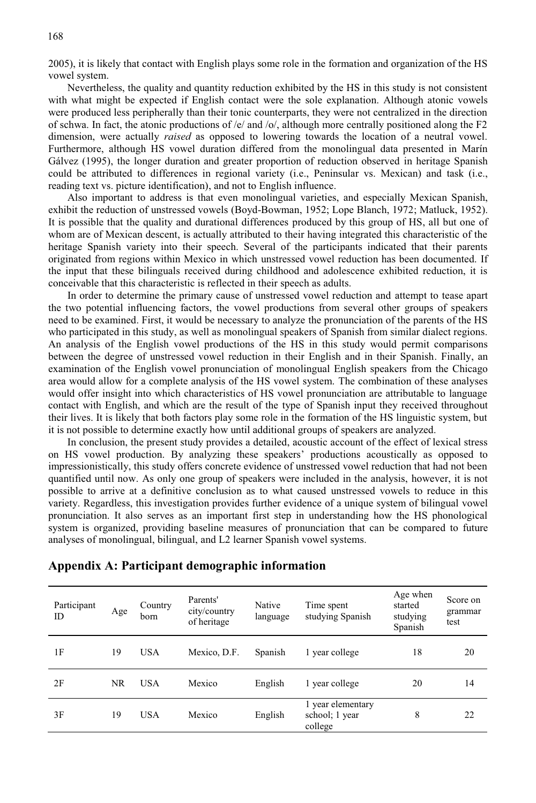2005), it is likely that contact with English plays some role in the formation and organization of the HS vowel system.

Nevertheless, the quality and quantity reduction exhibited by the HS in this study is not consistent with what might be expected if English contact were the sole explanation. Although atonic vowels were produced less peripherally than their tonic counterparts, they were not centralized in the direction of schwa. In fact, the atonic productions of  $/e$  and  $\omega$ , although more centrally positioned along the F2 dimension, were actually *raised* as opposed to lowering towards the location of a neutral vowel. Furthermore, although HS vowel duration differed from the monolingual data presented in Marín Gálvez (1995), the longer duration and greater proportion of reduction observed in heritage Spanish could be attributed to differences in regional variety (i.e., Peninsular vs. Mexican) and task (i.e., reading text vs. picture identification), and not to English influence.

Also important to address is that even monolingual varieties, and especially Mexican Spanish, exhibit the reduction of unstressed vowels (Boyd-Bowman, 1952; Lope Blanch, 1972; Matluck, 1952). It is possible that the quality and durational differences produced by this group of HS, all but one of whom are of Mexican descent, is actually attributed to their having integrated this characteristic of the heritage Spanish variety into their speech. Several of the participants indicated that their parents originated from regions within Mexico in which unstressed vowel reduction has been documented. If the input that these bilinguals received during childhood and adolescence exhibited reduction, it is conceivable that this characteristic is reflected in their speech as adults.

In order to determine the primary cause of unstressed vowel reduction and attempt to tease apart the two potential influencing factors, the vowel productions from several other groups of speakers need to be examined. First, it would be necessary to analyze the pronunciation of the parents of the HS who participated in this study, as well as monolingual speakers of Spanish from similar dialect regions. An analysis of the English vowel productions of the HS in this study would permit comparisons between the degree of unstressed vowel reduction in their English and in their Spanish. Finally, an examination of the English vowel pronunciation of monolingual English speakers from the Chicago area would allow for a complete analysis of the HS vowel system. The combination of these analyses would offer insight into which characteristics of HS vowel pronunciation are attributable to language contact with English, and which are the result of the type of Spanish input they received throughout their lives. It is likely that both factors play some role in the formation of the HS linguistic system, but it is not possible to determine exactly how until additional groups of speakers are analyzed.

In conclusion, the present study provides a detailed, acoustic account of the effect of lexical stress on HS vowel production. By analyzing these speakers' productions acoustically as opposed to impressionistically, this study offers concrete evidence of unstressed vowel reduction that had not been quantified until now. As only one group of speakers were included in the analysis, however, it is not possible to arrive at a definitive conclusion as to what caused unstressed vowels to reduce in this variety. Regardless, this investigation provides further evidence of a unique system of bilingual vowel pronunciation. It also serves as an important first step in understanding how the HS phonological system is organized, providing baseline measures of pronunciation that can be compared to future analyses of monolingual, bilingual, and L2 learner Spanish vowel systems.

| Participant<br>ID | Age | Country<br>born | Parents'<br>city/country<br>of heritage | Native<br>language | Time spent<br>studying Spanish                 | Age when<br>started<br>studying<br>Spanish | Score on<br>grammar<br>test |
|-------------------|-----|-----------------|-----------------------------------------|--------------------|------------------------------------------------|--------------------------------------------|-----------------------------|
| 1F                | 19  | <b>USA</b>      | Mexico, D.F.                            | Spanish            | 1 year college                                 | 18                                         | 20                          |
| 2F                | NR. | <b>USA</b>      | Mexico                                  | English            | 1 year college                                 | 20                                         | 14                          |
| 3F                | 19  | <b>USA</b>      | Mexico                                  | English            | 1 year elementary<br>school; 1 year<br>college | 8                                          | 22                          |

#### **Appendix A: Participant demographic information**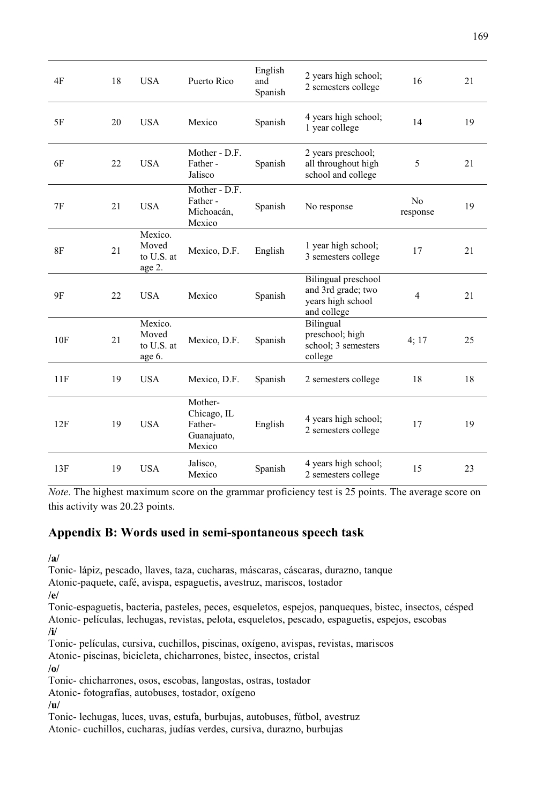| 4F        | 18 | <b>USA</b>                               | Puerto Rico                                                | English<br>and<br>Spanish | 2 years high school;<br>2 semesters college                                   | 16                         | 21 |
|-----------|----|------------------------------------------|------------------------------------------------------------|---------------------------|-------------------------------------------------------------------------------|----------------------------|----|
| 5F        | 20 | <b>USA</b>                               | Mexico                                                     | Spanish                   | 4 years high school;<br>1 year college                                        | 14                         | 19 |
| 6F        | 22 | <b>USA</b>                               | Mother - D.F.<br>Father-<br>Jalisco                        | Spanish                   | 2 years preschool;<br>all throughout high<br>school and college               | 5                          | 21 |
| 7F        | 21 | <b>USA</b>                               | Mother - D.F.<br>Father-<br>Michoacán,<br>Mexico           | Spanish                   | No response                                                                   | N <sub>0</sub><br>response | 19 |
| <b>8F</b> | 21 | Mexico.<br>Moved<br>to U.S. at<br>age 2. | Mexico, D.F.                                               | English                   | 1 year high school;<br>3 semesters college                                    | 17                         | 21 |
| 9F        | 22 | <b>USA</b>                               | Mexico                                                     | Spanish                   | Bilingual preschool<br>and 3rd grade; two<br>years high school<br>and college | $\overline{4}$             | 21 |
| 10F       | 21 | Mexico.<br>Moved<br>to U.S. at<br>age 6. | Mexico, D.F.                                               | Spanish                   | Bilingual<br>preschool; high<br>school; 3 semesters<br>college                | 4;17                       | 25 |
| 11F       | 19 | <b>USA</b>                               | Mexico, D.F.                                               | Spanish                   | 2 semesters college                                                           | 18                         | 18 |
| 12F       | 19 | <b>USA</b>                               | Mother-<br>Chicago, IL<br>Father-<br>Guanajuato,<br>Mexico | English                   | 4 years high school;<br>2 semesters college                                   | 17                         | 19 |
| 13F       | 19 | <b>USA</b>                               | Jalisco,<br>Mexico                                         | Spanish                   | 4 years high school;<br>2 semesters college                                   | 15                         | 23 |

*Note*. The highest maximum score on the grammar proficiency test is 25 points. The average score on this activity was 20.23 points.

## **Appendix B: Words used in semi-spontaneous speech task**

**/a/** 

Tonic- lápiz, pescado, llaves, taza, cucharas, máscaras, cáscaras, durazno, tanque

Atonic-paquete, café, avispa, espaguetis, avestruz, mariscos, tostador

**/e/** 

Tonic-espaguetis, bacteria, pasteles, peces, esqueletos, espejos, panqueques, bistec, insectos, césped Atonic- películas, lechugas, revistas, pelota, esqueletos, pescado, espaguetis, espejos, escobas **/i/** 

Tonic- películas, cursiva, cuchillos, piscinas, oxígeno, avispas, revistas, mariscos

Atonic- piscinas, bicicleta, chicharrones, bistec, insectos, cristal

**/o/** 

Tonic- chicharrones, osos, escobas, langostas, ostras, tostador

Atonic- fotografías, autobuses, tostador, oxígeno

**/u/** 

Tonic- lechugas, luces, uvas, estufa, burbujas, autobuses, fútbol, avestruz Atonic- cuchillos, cucharas, judías verdes, cursiva, durazno, burbujas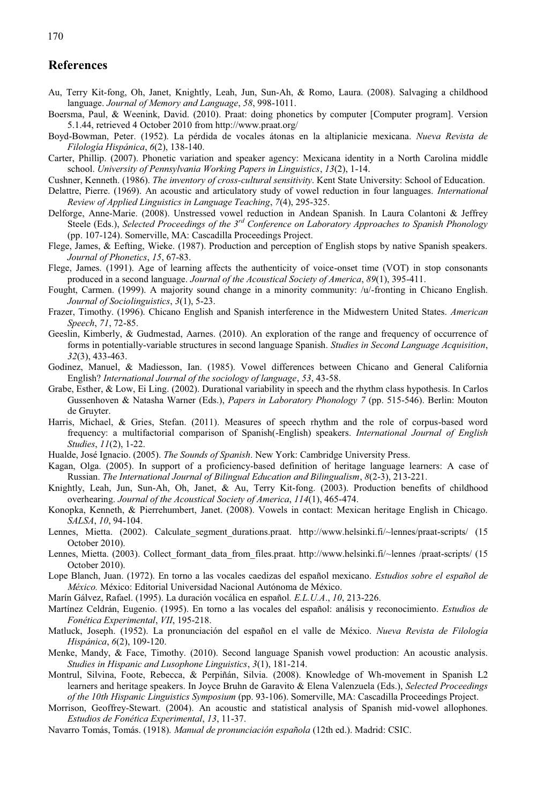### **References**

- Au, Terry Kit-fong, Oh, Janet, Knightly, Leah, Jun, Sun-Ah, & Romo, Laura. (2008). Salvaging a childhood language. *Journal of Memory and Language*, *58*, 998-1011.
- Boersma, Paul, & Weenink, David. (2010). Praat: doing phonetics by computer [Computer program]. Version 5.1.44, retrieved 4 October 2010 from http://www.praat.org/
- Boyd-Bowman, Peter. (1952). La pérdida de vocales átonas en la altiplanicie mexicana. *Nueva Revista de Filología Hispánica*, *6*(2), 138-140.
- Carter, Phillip. (2007). Phonetic variation and speaker agency: Mexicana identity in a North Carolina middle school. *University of Pennsylvania Working Papers in Linguistics*, *13*(2), 1-14.
- Cushner, Kenneth. (1986). *The inventory of cross-cultural sensitivity*. Kent State University: School of Education.
- Delattre, Pierre. (1969). An acoustic and articulatory study of vowel reduction in four languages. *International Review of Applied Linguistics in Language Teaching*, *7*(4), 295-325.
- Delforge, Anne-Marie. (2008). Unstressed vowel reduction in Andean Spanish. In Laura Colantoni & Jeffrey Steele (Eds.), *Selected Proceedings of the 3rd Conference on Laboratory Approaches to Spanish Phonology* (pp. 107-124). Somerville, MA: Cascadilla Proceedings Project.
- Flege, James, & Eefting, Wieke. (1987). Production and perception of English stops by native Spanish speakers. *Journal of Phonetics*, *15*, 67-83.
- Flege, James. (1991). Age of learning affects the authenticity of voice-onset time (VOT) in stop consonants produced in a second language. *Journal of the Acoustical Society of America*, *89*(1), 395-411.
- Fought, Carmen. (1999). A majority sound change in a minority community: /u/-fronting in Chicano English. *Journal of Sociolinguistics*, *3*(1), 5-23.
- Frazer, Timothy. (1996). Chicano English and Spanish interference in the Midwestern United States. *American Speech*, *71*, 72-85.
- Geeslin, Kimberly, & Gudmestad, Aarnes. (2010). An exploration of the range and frequency of occurrence of forms in potentially-variable structures in second language Spanish. *Studies in Second Language Acquisition*, *32*(3), 433-463.
- Godinez, Manuel, & Madiesson, Ian. (1985). Vowel differences between Chicano and General California English? *International Journal of the sociology of language*, *53*, 43-58.
- Grabe, Esther, & Low, Ei Ling. (2002). Durational variability in speech and the rhythm class hypothesis. In Carlos Gussenhoven & Natasha Warner (Eds.), *Papers in Laboratory Phonology 7* (pp. 515-546). Berlin: Mouton de Gruyter.
- Harris, Michael, & Gries, Stefan. (2011). Measures of speech rhythm and the role of corpus-based word frequency: a multifactorial comparison of Spanish(-English) speakers. *International Journal of English Studies*, *11*(2), 1-22.
- Hualde, José Ignacio. (2005). *The Sounds of Spanish*. New York: Cambridge University Press.
- Kagan, Olga. (2005). In support of a proficiency-based definition of heritage language learners: A case of Russian. *The International Journal of Bilingual Education and Bilingualism*, *8*(2-3), 213-221.
- Knightly, Leah, Jun, Sun-Ah, Oh, Janet, & Au, Terry Kit-fong. (2003). Production benefits of childhood overhearing. *Journal of the Acoustical Society of America*, *114*(1), 465-474.
- Konopka, Kenneth, & Pierrehumbert, Janet. (2008). Vowels in contact: Mexican heritage English in Chicago. *SALSA*, *10*, 94-104.
- Lennes, Mietta. (2002). Calculate segment durations.praat. http://www.helsinki.fi/~lennes/praat-scripts/ (15 October 2010).
- Lennes, Mietta. (2003). Collect formant data from files.praat. http://www.helsinki.fi/~lennes /praat-scripts/ (15 October 2010).
- Lope Blanch, Juan. (1972). En torno a las vocales caedizas del español mexicano. *Estudios sobre el español de México.* México: Editorial Universidad Nacional Autónoma de México.
- Marín Gálvez, Rafael. (1995). La duración vocálica en español*. E.L.U.A*., *10*, 213-226.
- Martínez Celdrán, Eugenio. (1995). En torno a las vocales del español: análisis y reconocimiento. *Estudios de Fonética Experimental*, *VII*, 195-218.
- Matluck, Joseph. (1952). La pronunciación del español en el valle de México. *Nueva Revista de Filología Hispánica*, *6*(2), 109-120.
- Menke, Mandy, & Face, Timothy. (2010). Second language Spanish vowel production: An acoustic analysis. *Studies in Hispanic and Lusophone Linguistics*, *3*(1), 181-214.
- Montrul, Silvina, Foote, Rebecca, & Perpiñán, Silvia. (2008). Knowledge of Wh-movement in Spanish L2 learners and heritage speakers. In Joyce Bruhn de Garavito & Elena Valenzuela (Eds.), *Selected Proceedings of the 10th Hispanic Linguistics Symposium* (pp. 93-106). Somerville, MA: Cascadilla Proceedings Project.
- Morrison, Geoffrey-Stewart. (2004). An acoustic and statistical analysis of Spanish mid-vowel allophones. *Estudios de Fonética Experimental*, *13*, 11-37.
- Navarro Tomás, Tomás. (1918). *Manual de pronunciación española* (12th ed.). Madrid: CSIC.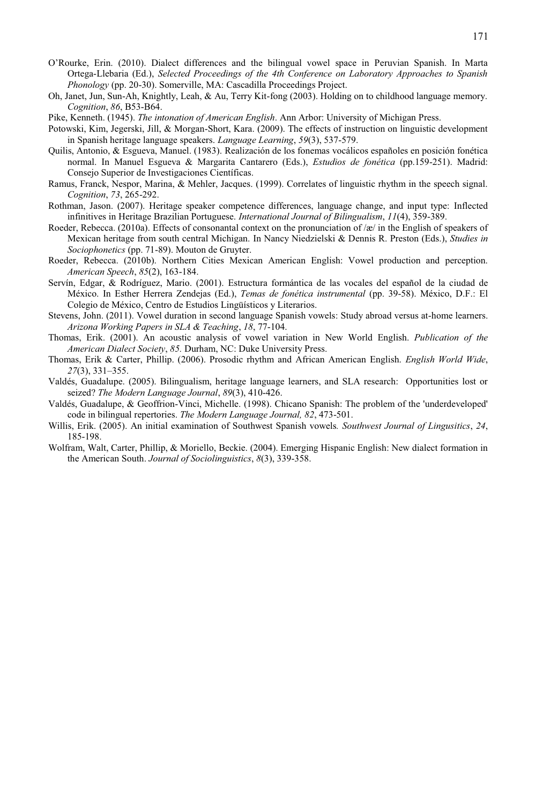- O'Rourke, Erin. (2010). Dialect differences and the bilingual vowel space in Peruvian Spanish. In Marta Ortega-Llebaria (Ed.), *Selected Proceedings of the 4th Conference on Laboratory Approaches to Spanish Phonology* (pp. 20-30). Somerville, MA: Cascadilla Proceedings Project.
- Oh, Janet, Jun, Sun-Ah, Knightly, Leah, & Au, Terry Kit-fong (2003). Holding on to childhood language memory. *Cognition*, *86*, B53-B64.
- Pike, Kenneth. (1945). *The intonation of American English*. Ann Arbor: University of Michigan Press.
- Potowski, Kim, Jegerski, Jill, & Morgan-Short, Kara. (2009). The effects of instruction on linguistic development in Spanish heritage language speakers. *Language Learning*, *59*(3), 537-579.
- Quilis, Antonio, & Esgueva, Manuel. (1983). Realización de los fonemas vocálicos españoles en posición fonética normal. In Manuel Esgueva & Margarita Cantarero (Eds.), *Estudios de fonética* (pp.159-251). Madrid: Consejo Superior de Investigaciones Científicas.
- Ramus, Franck, Nespor, Marina, & Mehler, Jacques. (1999). Correlates of linguistic rhythm in the speech signal. *Cognition*, *73*, 265-292.
- Rothman, Jason. (2007). Heritage speaker competence differences, language change, and input type: Inflected infinitives in Heritage Brazilian Portuguese. *International Journal of Bilingualism*, *11*(4), 359-389.
- Roeder, Rebecca. (2010a). Effects of consonantal context on the pronunciation of /æ/ in the English of speakers of Mexican heritage from south central Michigan. In Nancy Niedzielski & Dennis R. Preston (Eds.), *Studies in Sociophonetics* (pp. 71-89). Mouton de Gruyter.
- Roeder, Rebecca. (2010b). Northern Cities Mexican American English: Vowel production and perception. *American Speech*, *85*(2), 163-184.
- Servín, Edgar, & Rodríguez, Mario. (2001). Estructura formántica de las vocales del español de la ciudad de México. In Esther Herrera Zendejas (Ed.), *Temas de fonética instrumental* (pp. 39-58). México, D.F.: El Colegio de México, Centro de Estudios Lingüísticos y Literarios.
- Stevens, John. (2011). Vowel duration in second language Spanish vowels: Study abroad versus at-home learners. *Arizona Working Papers in SLA & Teaching*, *18*, 77-104.
- Thomas, Erik. (2001). An acoustic analysis of vowel variation in New World English. *Publication of the American Dialect Society*, *85.* Durham, NC: Duke University Press.
- Thomas, Erik & Carter, Phillip. (2006). Prosodic rhythm and African American English. *English World Wide*, *27*(3), 331–355.
- Valdés, Guadalupe. (2005). Bilingualism, heritage language learners, and SLA research: Opportunities lost or seized? *The Modern Language Journal*, *89*(3), 410-426.
- Valdés, Guadalupe, & Geoffrion-Vinci, Michelle. (1998). Chicano Spanish: The problem of the 'underdeveloped' code in bilingual repertories. *The Modern Language Journal, 82*, 473-501.
- Willis, Erik. (2005). An initial examination of Southwest Spanish vowels*. Southwest Journal of Lingusitics*, *24*, 185-198.
- Wolfram, Walt, Carter, Phillip, & Moriello, Beckie. (2004). Emerging Hispanic English: New dialect formation in the American South. *Journal of Sociolinguistics*, *8*(3), 339-358.